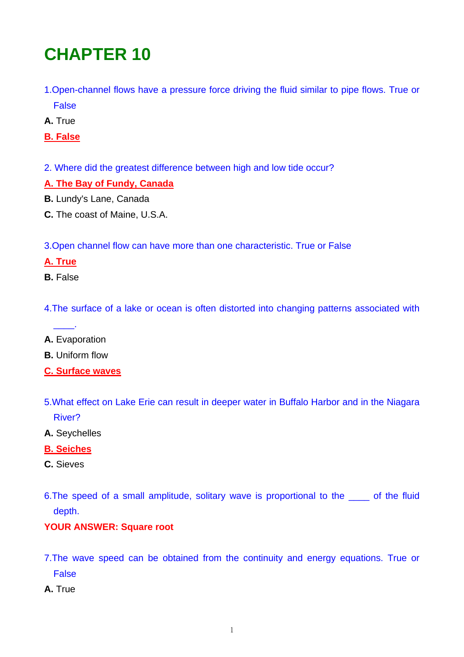# **CHAPTER 10**

- 1.Open-channel flows have a pressure force driving the fluid similar to pipe flows. True or False
- **A.** True
- **B. False**
- 2. Where did the greatest difference between high and low tide occur?

#### **A. The Bay of Fundy, Canada**

- **B.** Lundy's Lane, Canada
- **C.** The coast of Maine, U.S.A.

3.Open channel flow can have more than one characteristic. True or False

# **A. True**

**B.** False

4.The surface of a lake or ocean is often distorted into changing patterns associated with

**A.** Evaporation

 $\overline{\phantom{a}}$ 

- **B.** Uniform flow
- **C. Surface waves**
- 5.What effect on Lake Erie can result in deeper water in Buffalo Harbor and in the Niagara River?
- **A.** Seychelles

## **B. Seiches**

- **C.** Sieves
- 6.The speed of a small amplitude, solitary wave is proportional to the \_\_\_\_ of the fluid depth.

## **YOUR ANSWER: Square root**

- 7.The wave speed can be obtained from the continuity and energy equations. True or False
- **A.** True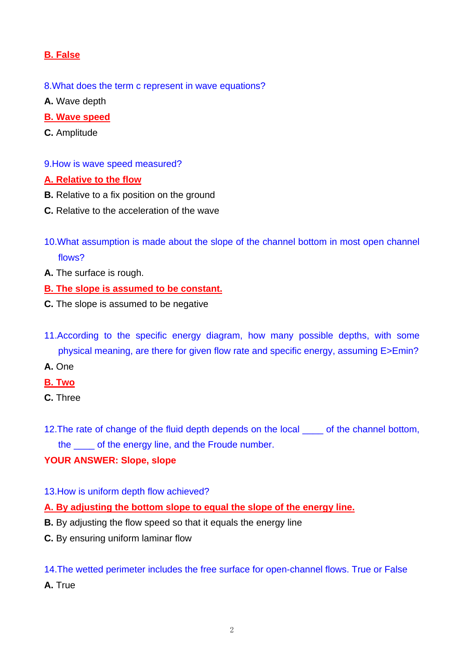# **B. False**

- 8.What does the term c represent in wave equations?
- **A.** Wave depth
- **B. Wave speed**
- **C.** Amplitude
- 9.How is wave speed measured?

#### **A. Relative to the flow**

- **B.** Relative to a fix position on the ground
- **C.** Relative to the acceleration of the wave
- 10.What assumption is made about the slope of the channel bottom in most open channel flows?
- **A.** The surface is rough.
- **B. The slope is assumed to be constant.**
- **C.** The slope is assumed to be negative
- 11.According to the specific energy diagram, how many possible depths, with some physical meaning, are there for given flow rate and specific energy, assuming E>Emin?
- **A.** One
- **B. Two**
- **C.** Three
- 12. The rate of change of the fluid depth depends on the local same of the channel bottom, the \_\_\_\_ of the energy line, and the Froude number.

#### **YOUR ANSWER: Slope, slope**

- 13.How is uniform depth flow achieved?
- **A. By adjusting the bottom slope to equal the slope of the energy line.**
- **B.** By adjusting the flow speed so that it equals the energy line
- **C.** By ensuring uniform laminar flow

14.The wetted perimeter includes the free surface for open-channel flows. True or False **A.** True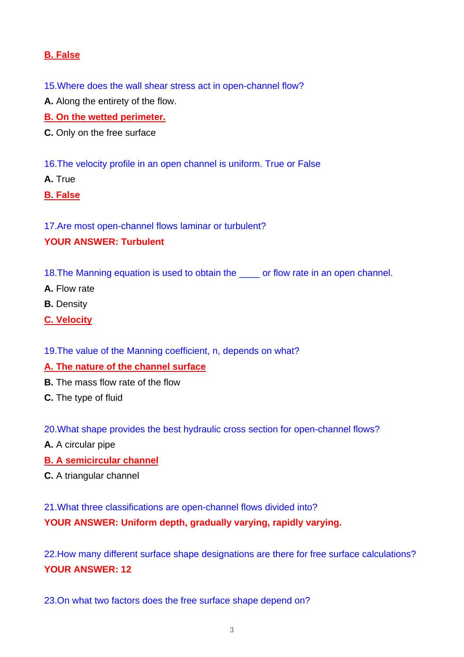# **B. False**

15.Where does the wall shear stress act in open-channel flow?

**A.** Along the entirety of the flow.

**B. On the wetted perimeter.**

**C.** Only on the free surface

16.The velocity profile in an open channel is uniform. True or False

**A.** True

**B. False**

17.Are most open-channel flows laminar or turbulent?

#### **YOUR ANSWER: Turbulent**

- 18.The Manning equation is used to obtain the \_\_\_\_ or flow rate in an open channel.
- **A.** Flow rate
- **B.** Density
- **C. Velocity**

19.The value of the Manning coefficient, n, depends on what?

## **A. The nature of the channel surface**

- **B.** The mass flow rate of the flow
- **C.** The type of fluid

20.What shape provides the best hydraulic cross section for open-channel flows?

- **A.** A circular pipe
- **B. A semicircular channel**
- **C.** A triangular channel

21.What three classifications are open-channel flows divided into?

**YOUR ANSWER: Uniform depth, gradually varying, rapidly varying.** 

22.How many different surface shape designations are there for free surface calculations? **YOUR ANSWER: 12** 

23.On what two factors does the free surface shape depend on?